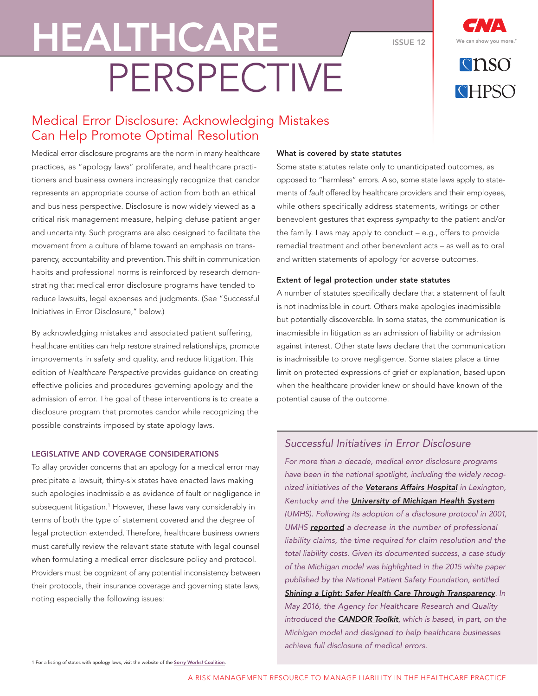#### ISSUE 12

**RUSO** CHPSO

# Medical Error Disclosure: Acknowledging Mistakes Can Help Promote Optimal Resolution

PERSPECTIVE

HEALTHCARE

Medical error disclosure programs are the norm in many healthcare practices, as "apology laws" proliferate, and healthcare practitioners and business owners increasingly recognize that candor represents an appropriate course of action from both an ethical and business perspective. Disclosure is now widely viewed as a critical risk management measure, helping defuse patient anger and uncertainty. Such programs are also designed to facilitate the movement from a culture of blame toward an emphasis on transparency, accountability and prevention. This shift in communication habits and professional norms is reinforced by research demonstrating that medical error disclosure programs have tended to reduce lawsuits, legal expenses and judgments. (See "Successful Initiatives in Error Disclosure," below.)

By acknowledging mistakes and associated patient suffering, healthcare entities can help restore strained relationships, promote improvements in safety and quality, and reduce litigation. This edition of Healthcare Perspective provides guidance on creating effective policies and procedures governing apology and the admission of error. The goal of these interventions is to create a disclosure program that promotes candor while recognizing the possible constraints imposed by state apology laws.

## LEGISLATIVE AND COVERAGE CONSIDERATIONS

To allay provider concerns that an apology for a medical error may precipitate a lawsuit, thirty-six states have enacted laws making such apologies inadmissible as evidence of fault or negligence in subsequent litigation.1 However, these laws vary considerably in terms of both the type of statement covered and the degree of legal protection extended. Therefore, healthcare business owners must carefully review the relevant state statute with legal counsel when formulating a medical error disclosure policy and protocol. Providers must be cognizant of any potential inconsistency between their protocols, their insurance coverage and governing state laws, noting especially the following issues:

#### What is covered by state statutes

Some state statutes relate only to unanticipated outcomes, as opposed to "harmless" errors. Also, some state laws apply to statements of fault offered by healthcare providers and their employees, while others specifically address statements, writings or other benevolent gestures that express sympathy to the patient and/or the family. Laws may apply to conduct – e.g., offers to provide remedial treatment and other benevolent acts – as well as to oral and written statements of apology for adverse outcomes.

#### Extent of legal protection under state statutes

A number of statutes specifically declare that a statement of fault is not inadmissible in court. Others make apologies inadmissible but potentially discoverable. In some states, the communication is inadmissible in litigation as an admission of liability or admission against interest. Other state laws declare that the communication is inadmissible to prove negligence. Some states place a time limit on protected expressions of grief or explanation, based upon when the healthcare provider knew or should have known of the potential cause of the outcome.

### Successful Initiatives in Error Disclosure

For more than a decade, medical error disclosure programs have been in the national spotlight, including the widely recog-nized initiatives of the [Veterans Affairs Hospital](http://www.ethics.va.gov/activities/policy.asp) in Lexington, Kentucky and the **[University of Michigan Health System](http://www.uofmhealth.org/michigan-model-medical-malpractice-and-patient-safety-umhs)** (UMHS). Following its adoption of a disclosure protocol in 2001, UMHS [reported](http://www.uofmhealth.org/news/1684ums-efforts-to-encourage-disclosure) a decrease in the number of professional liability claims, the time required for claim resolution and the total liability costs. Given its documented success, a case study of the Michigan model was highlighted in the 2015 white paper published by the National Patient Safety Foundation, entitled [Shining a Light: Safer Health Care Through Transparency](http://c.ymcdn.com/sites/www.npsf.org/resource/resmgr/LLI/Shining-a-Light_Transparency.pdf). In May 2016, the Agency for Healthcare Research and Quality introduced the **[CANDOR Toolkit](http://www.ahrq.gov/professionals/quality-patient-safety/patient-safety-resources/resources/candor/introduction.html)**, which is based, in part, on the Michigan model and designed to help healthcare businesses achieve full disclosure of medical errors.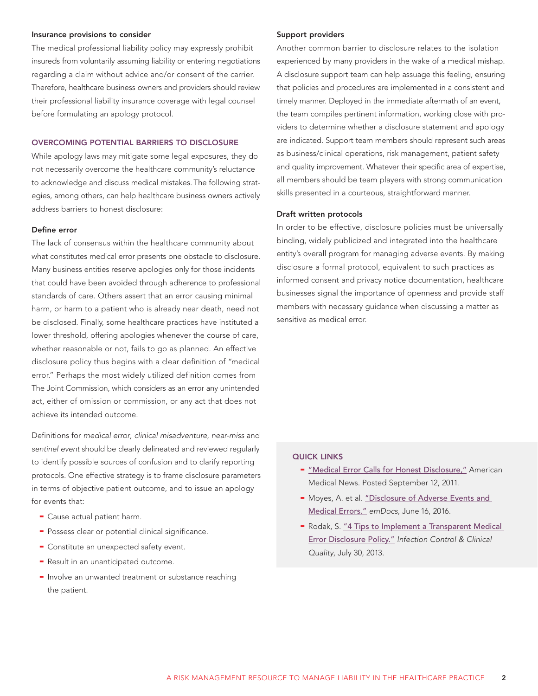#### Insurance provisions to consider

The medical professional liability policy may expressly prohibit insureds from voluntarily assuming liability or entering negotiations regarding a claim without advice and/or consent of the carrier. Therefore, healthcare business owners and providers should review their professional liability insurance coverage with legal counsel before formulating an apology protocol.

#### OVERCOMING POTENTIAL BARRIERS TO DISCLOSURE

While apology laws may mitigate some legal exposures, they do not necessarily overcome the healthcare community's reluctance to acknowledge and discuss medical mistakes. The following strategies, among others, can help healthcare business owners actively address barriers to honest disclosure:

#### Define error

The lack of consensus within the healthcare community about what constitutes medical error presents one obstacle to disclosure. Many business entities reserve apologies only for those incidents that could have been avoided through adherence to professional standards of care. Others assert that an error causing minimal harm, or harm to a patient who is already near death, need not be disclosed. Finally, some healthcare practices have instituted a lower threshold, offering apologies whenever the course of care, whether reasonable or not, fails to go as planned. An effective disclosure policy thus begins with a clear definition of "medical error." Perhaps the most widely utilized definition comes from The Joint Commission, which considers as an error any unintended act, either of omission or commission, or any act that does not achieve its intended outcome.

Definitions for medical error, clinical misadventure, near-miss and sentinel event should be clearly delineated and reviewed regularly to identify possible sources of confusion and to clarify reporting protocols. One effective strategy is to frame disclosure parameters in terms of objective patient outcome, and to issue an apology for events that:

- Cause actual patient harm.
- Possess clear or potential clinical significance.
- Constitute an unexpected safety event.
- Result in an unanticipated outcome.
- Involve an unwanted treatment or substance reaching the patient.

#### Support providers

Another common barrier to disclosure relates to the isolation experienced by many providers in the wake of a medical mishap. A disclosure support team can help assuage this feeling, ensuring that policies and procedures are implemented in a consistent and timely manner. Deployed in the immediate aftermath of an event, the team compiles pertinent information, working close with providers to determine whether a disclosure statement and apology are indicated. Support team members should represent such areas as business/clinical operations, risk management, patient safety and quality improvement. Whatever their specific area of expertise, all members should be team players with strong communication skills presented in a courteous, straightforward manner.

#### Draft written protocols

In order to be effective, disclosure policies must be universally binding, widely publicized and integrated into the healthcare entity's overall program for managing adverse events. By making disclosure a formal protocol, equivalent to such practices as informed consent and privacy notice documentation, healthcare businesses signal the importance of openness and provide staff members with necessary guidance when discussing a matter as sensitive as medical error.

#### QUICK LINKS

- ["Medical Error Calls for Honest Disclosure,"](http://www.amednews.com/article/20110912/profession/309129949/5/) American Medical News. Posted September 12, 2011.
- Moyes, A. et al. "Disclosure of Adverse Events and [Medical Errors."](http://www.emdocs.net/disclosure-of-medical-errors/) emDocs, June 16, 2016.
- Rodak, S. "4 Tips to Implement a Transparent Medical [Error Disclosure Policy."](http://www.beckershospitalreview.com/quality/4-tips-to-implement-a-transparent-medical-error-disclosure-policy.html) Infection Control & Clinical Quality, July 30, 2013.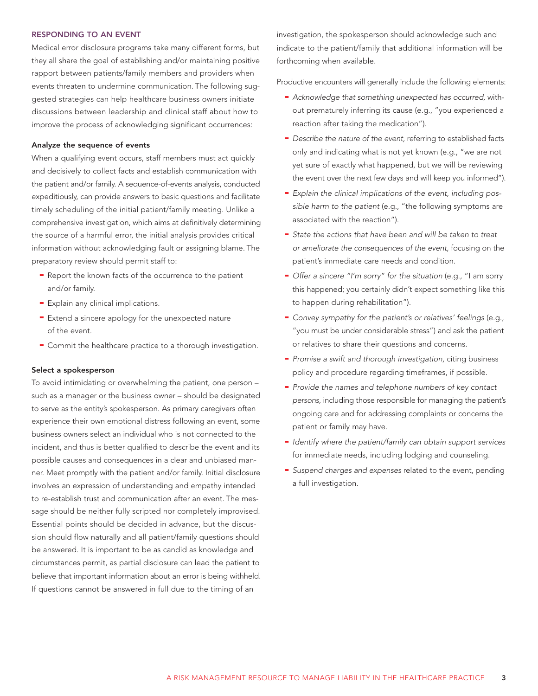#### RESPONDING TO AN EVENT

Medical error disclosure programs take many different forms, but they all share the goal of establishing and/or maintaining positive rapport between patients/family members and providers when events threaten to undermine communication. The following suggested strategies can help healthcare business owners initiate discussions between leadership and clinical staff about how to improve the process of acknowledging significant occurrences:

#### Analyze the sequence of events

When a qualifying event occurs, staff members must act quickly and decisively to collect facts and establish communication with the patient and/or family. A sequence-of-events analysis, conducted expeditiously, can provide answers to basic questions and facilitate timely scheduling of the initial patient/family meeting. Unlike a comprehensive investigation, which aims at definitively determining the source of a harmful error, the initial analysis provides critical information without acknowledging fault or assigning blame. The preparatory review should permit staff to:

- Report the known facts of the occurrence to the patient and/or family.
- Explain any clinical implications.
- Extend a sincere apology for the unexpected nature of the event.
- Commit the healthcare practice to a thorough investigation.

#### Select a spokesperson

To avoid intimidating or overwhelming the patient, one person – such as a manager or the business owner – should be designated to serve as the entity's spokesperson. As primary caregivers often experience their own emotional distress following an event, some business owners select an individual who is not connected to the incident, and thus is better qualified to describe the event and its possible causes and consequences in a clear and unbiased manner. Meet promptly with the patient and/or family. Initial disclosure involves an expression of understanding and empathy intended to re-establish trust and communication after an event. The message should be neither fully scripted nor completely improvised. Essential points should be decided in advance, but the discussion should flow naturally and all patient/family questions should be answered. It is important to be as candid as knowledge and circumstances permit, as partial disclosure can lead the patient to believe that important information about an error is being withheld. If questions cannot be answered in full due to the timing of an

investigation, the spokesperson should acknowledge such and indicate to the patient/family that additional information will be forthcoming when available.

Productive encounters will generally include the following elements:

- Acknowledge that something unexpected has occurred, without prematurely inferring its cause (e.g., "you experienced a reaction after taking the medication").
- Describe the nature of the event, referring to established facts only and indicating what is not yet known (e.g., "we are not yet sure of exactly what happened, but we will be reviewing the event over the next few days and will keep you informed").
- Explain the clinical implications of the event, including possible harm to the patient (e.g., "the following symptoms are associated with the reaction").
- State the actions that have been and will be taken to treat or ameliorate the consequences of the event, focusing on the patient's immediate care needs and condition.
- Offer a sincere "I'm sorry" for the situation (e.g., "I am sorry this happened; you certainly didn't expect something like this to happen during rehabilitation").
- Convey sympathy for the patient's or relatives' feelings (e.g., "you must be under considerable stress") and ask the patient or relatives to share their questions and concerns.
- Promise a swift and thorough investigation, citing business policy and procedure regarding timeframes, if possible.
- Provide the names and telephone numbers of key contact persons, including those responsible for managing the patient's ongoing care and for addressing complaints or concerns the patient or family may have.
- Identify where the patient/family can obtain support services for immediate needs, including lodging and counseling.
- Suspend charges and expenses related to the event, pending a full investigation.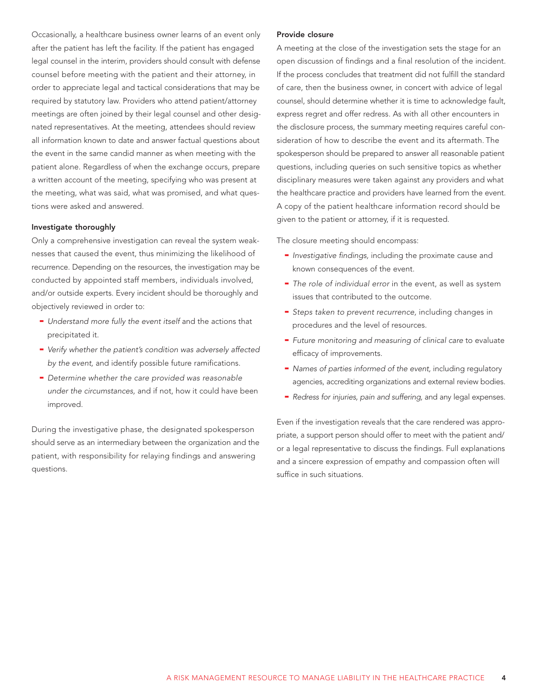Occasionally, a healthcare business owner learns of an event only after the patient has left the facility. If the patient has engaged legal counsel in the interim, providers should consult with defense counsel before meeting with the patient and their attorney, in order to appreciate legal and tactical considerations that may be required by statutory law. Providers who attend patient/attorney meetings are often joined by their legal counsel and other designated representatives. At the meeting, attendees should review all information known to date and answer factual questions about the event in the same candid manner as when meeting with the patient alone. Regardless of when the exchange occurs, prepare a written account of the meeting, specifying who was present at the meeting, what was said, what was promised, and what questions were asked and answered.

#### Investigate thoroughly

Only a comprehensive investigation can reveal the system weaknesses that caused the event, thus minimizing the likelihood of recurrence. Depending on the resources, the investigation may be conducted by appointed staff members, individuals involved, and/or outside experts. Every incident should be thoroughly and objectively reviewed in order to:

- Understand more fully the event itself and the actions that precipitated it.
- Verify whether the patient's condition was adversely affected by the event, and identify possible future ramifications.
- Determine whether the care provided was reasonable under the circumstances, and if not, how it could have been improved.

During the investigative phase, the designated spokesperson should serve as an intermediary between the organization and the patient, with responsibility for relaying findings and answering questions.

#### Provide closure

A meeting at the close of the investigation sets the stage for an open discussion of findings and a final resolution of the incident. If the process concludes that treatment did not fulfill the standard of care, then the business owner, in concert with advice of legal counsel, should determine whether it is time to acknowledge fault, express regret and offer redress. As with all other encounters in the disclosure process, the summary meeting requires careful consideration of how to describe the event and its aftermath. The spokesperson should be prepared to answer all reasonable patient questions, including queries on such sensitive topics as whether disciplinary measures were taken against any providers and what the healthcare practice and providers have learned from the event. A copy of the patient healthcare information record should be given to the patient or attorney, if it is requested.

The closure meeting should encompass:

- Investigative findings, including the proximate cause and known consequences of the event.
- The role of individual error in the event, as well as system issues that contributed to the outcome.
- Steps taken to prevent recurrence, including changes in procedures and the level of resources.
- Future monitoring and measuring of clinical care to evaluate efficacy of improvements.
- Names of parties informed of the event, including regulatory agencies, accrediting organizations and external review bodies.
- Redress for injuries, pain and suffering, and any legal expenses.

Even if the investigation reveals that the care rendered was appropriate, a support person should offer to meet with the patient and/ or a legal representative to discuss the findings. Full explanations and a sincere expression of empathy and compassion often will suffice in such situations.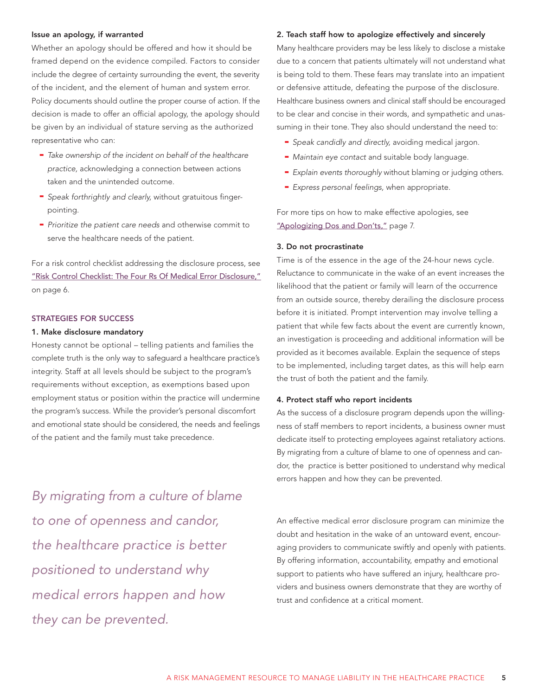#### Issue an apology, if warranted

Whether an apology should be offered and how it should be framed depend on the evidence compiled. Factors to consider include the degree of certainty surrounding the event, the severity of the incident, and the element of human and system error. Policy documents should outline the proper course of action. If the decision is made to offer an official apology, the apology should be given by an individual of stature serving as the authorized representative who can:

- Take ownership of the incident on behalf of the healthcare practice, acknowledging a connection between actions taken and the unintended outcome.
- Speak forthrightly and clearly, without gratuitous fingerpointing.
- Prioritize the patient care needs and otherwise commit to serve the healthcare needs of the patient.

For a risk control checklist addressing the disclosure process, see ["Risk Control Checklist: The Four Rs Of Medical Error Disclosure,"](#page-5-0) on page 6.

#### STRATEGIES FOR SUCCESS

#### 1. Make disclosure mandatory

Honesty cannot be optional – telling patients and families the complete truth is the only way to safeguard a healthcare practice's integrity. Staff at all levels should be subject to the program's requirements without exception, as exemptions based upon employment status or position within the practice will undermine the program's success. While the provider's personal discomfort and emotional state should be considered, the needs and feelings of the patient and the family must take precedence.

By migrating from a culture of blame to one of openness and candor, the healthcare practice is better positioned to understand why medical errors happen and how they can be prevented.

#### 2. Teach staff how to apologize effectively and sincerely

Many healthcare providers may be less likely to disclose a mistake due to a concern that patients ultimately will not understand what is being told to them. These fears may translate into an impatient or defensive attitude, defeating the purpose of the disclosure. Healthcare business owners and clinical staff should be encouraged to be clear and concise in their words, and sympathetic and unassuming in their tone. They also should understand the need to:

- Speak candidly and directly, avoiding medical jargon.
- Maintain eye contact and suitable body language.
- Explain events thoroughly without blaming or judging others.
- Express personal feelings, when appropriate.

For more tips on how to make effective apologies, see ["Apologizing Dos and Don'ts,"](#page-7-0) page 7.

#### 3. Do not procrastinate

Time is of the essence in the age of the 24-hour news cycle. Reluctance to communicate in the wake of an event increases the likelihood that the patient or family will learn of the occurrence from an outside source, thereby derailing the disclosure process before it is initiated. Prompt intervention may involve telling a patient that while few facts about the event are currently known, an investigation is proceeding and additional information will be provided as it becomes available. Explain the sequence of steps to be implemented, including target dates, as this will help earn the trust of both the patient and the family.

#### 4. Protect staff who report incidents

As the success of a disclosure program depends upon the willingness of staff members to report incidents, a business owner must dedicate itself to protecting employees against retaliatory actions. By migrating from a culture of blame to one of openness and candor, the practice is better positioned to understand why medical errors happen and how they can be prevented.

An effective medical error disclosure program can minimize the doubt and hesitation in the wake of an untoward event, encouraging providers to communicate swiftly and openly with patients. By offering information, accountability, empathy and emotional support to patients who have suffered an injury, healthcare providers and business owners demonstrate that they are worthy of trust and confidence at a critical moment.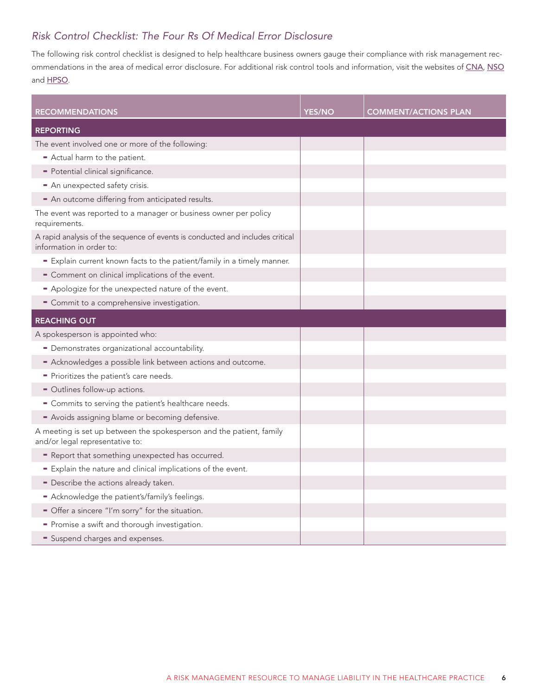# <span id="page-5-0"></span>Risk Control Checklist: The Four Rs Of Medical Error Disclosure

The following risk control checklist is designed to help healthcare business owners gauge their compliance with risk management rec-ommendations in the area of medical error disclosure. For additional risk control tools and information, visit the websites of [CNA](http://www.cna.com/healthcare), [NSO](http://www.nso.com) and **[HPSO](http://www.hpso.com)**.

| <b>RECOMMENDATIONS</b>                                                                                    | <b>YES/NO</b> | <b>COMMENT/ACTIONS PLAN</b> |
|-----------------------------------------------------------------------------------------------------------|---------------|-----------------------------|
| <b>REPORTING</b>                                                                                          |               |                             |
| The event involved one or more of the following:                                                          |               |                             |
| - Actual harm to the patient.                                                                             |               |                             |
| - Potential clinical significance.                                                                        |               |                             |
| - An unexpected safety crisis.                                                                            |               |                             |
| - An outcome differing from anticipated results.                                                          |               |                             |
| The event was reported to a manager or business owner per policy<br>requirements.                         |               |                             |
| A rapid analysis of the sequence of events is conducted and includes critical<br>information in order to: |               |                             |
| - Explain current known facts to the patient/family in a timely manner.                                   |               |                             |
| - Comment on clinical implications of the event.                                                          |               |                             |
| - Apologize for the unexpected nature of the event.                                                       |               |                             |
| - Commit to a comprehensive investigation.                                                                |               |                             |
| <b>REACHING OUT</b>                                                                                       |               |                             |
| A spokesperson is appointed who:                                                                          |               |                             |
| - Demonstrates organizational accountability.                                                             |               |                             |
| - Acknowledges a possible link between actions and outcome.                                               |               |                             |
| - Prioritizes the patient's care needs.                                                                   |               |                             |
| - Outlines follow-up actions.                                                                             |               |                             |
| - Commits to serving the patient's healthcare needs.                                                      |               |                             |
| - Avoids assigning blame or becoming defensive.                                                           |               |                             |
| A meeting is set up between the spokesperson and the patient, family<br>and/or legal representative to:   |               |                             |
| - Report that something unexpected has occurred.                                                          |               |                             |
| - Explain the nature and clinical implications of the event.                                              |               |                             |
| - Describe the actions already taken.                                                                     |               |                             |
| - Acknowledge the patient's/family's feelings.                                                            |               |                             |
| - Offer a sincere "I'm sorry" for the situation.                                                          |               |                             |
| - Promise a swift and thorough investigation.                                                             |               |                             |
| Suspend charges and expenses.                                                                             |               |                             |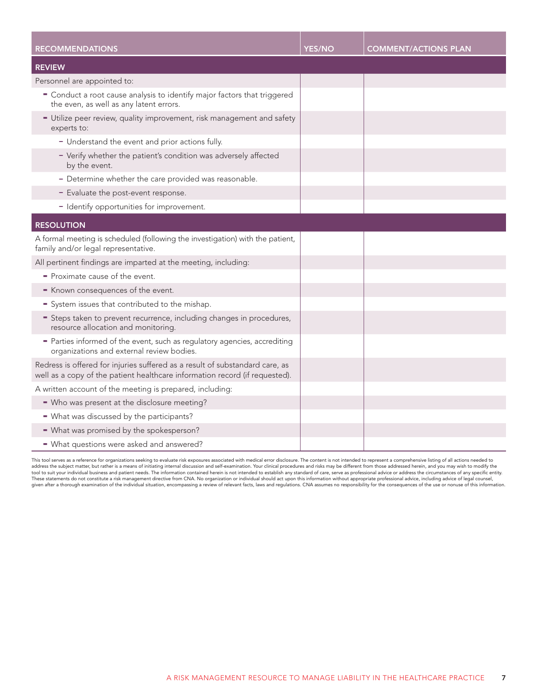| <b>RECOMMENDATIONS</b>                                                                                                                                      | <b>YES/NO</b> | <b>COMMENT/ACTIONS PLAN</b> |
|-------------------------------------------------------------------------------------------------------------------------------------------------------------|---------------|-----------------------------|
| <b>REVIEW</b>                                                                                                                                               |               |                             |
| Personnel are appointed to:                                                                                                                                 |               |                             |
| " Conduct a root cause analysis to identify major factors that triggered<br>the even, as well as any latent errors.                                         |               |                             |
| - Utilize peer review, quality improvement, risk management and safety<br>experts to:                                                                       |               |                             |
| - Understand the event and prior actions fully.                                                                                                             |               |                             |
| - Verify whether the patient's condition was adversely affected<br>by the event.                                                                            |               |                             |
| - Determine whether the care provided was reasonable.                                                                                                       |               |                             |
| - Evaluate the post-event response.                                                                                                                         |               |                             |
| - Identify opportunities for improvement.                                                                                                                   |               |                             |
| <b>RESOLUTION</b>                                                                                                                                           |               |                             |
| A formal meeting is scheduled (following the investigation) with the patient,<br>family and/or legal representative.                                        |               |                             |
| All pertinent findings are imparted at the meeting, including:                                                                                              |               |                             |
| - Proximate cause of the event.                                                                                                                             |               |                             |
| - Known consequences of the event.                                                                                                                          |               |                             |
| System issues that contributed to the mishap.                                                                                                               |               |                             |
| = Steps taken to prevent recurrence, including changes in procedures,<br>resource allocation and monitoring.                                                |               |                             |
| - Parties informed of the event, such as regulatory agencies, accrediting<br>organizations and external review bodies.                                      |               |                             |
| Redress is offered for injuries suffered as a result of substandard care, as<br>well as a copy of the patient healthcare information record (if requested). |               |                             |
| A written account of the meeting is prepared, including:                                                                                                    |               |                             |
| - Who was present at the disclosure meeting?                                                                                                                |               |                             |
| - What was discussed by the participants?                                                                                                                   |               |                             |
| - What was promised by the spokesperson?                                                                                                                    |               |                             |
| - What questions were asked and answered?                                                                                                                   |               |                             |

This tool serves as a reference for organizations seeking to evaluate risk exposures associated with medical error disclosure. The content is not intended to represent a comprehensive listing of all actions needed to<br>addre tool to suit your individual business and patient needs. The information contained herein is not intended to establish any standard of care, serve as professional advice or address the circumstances of any specific entity.